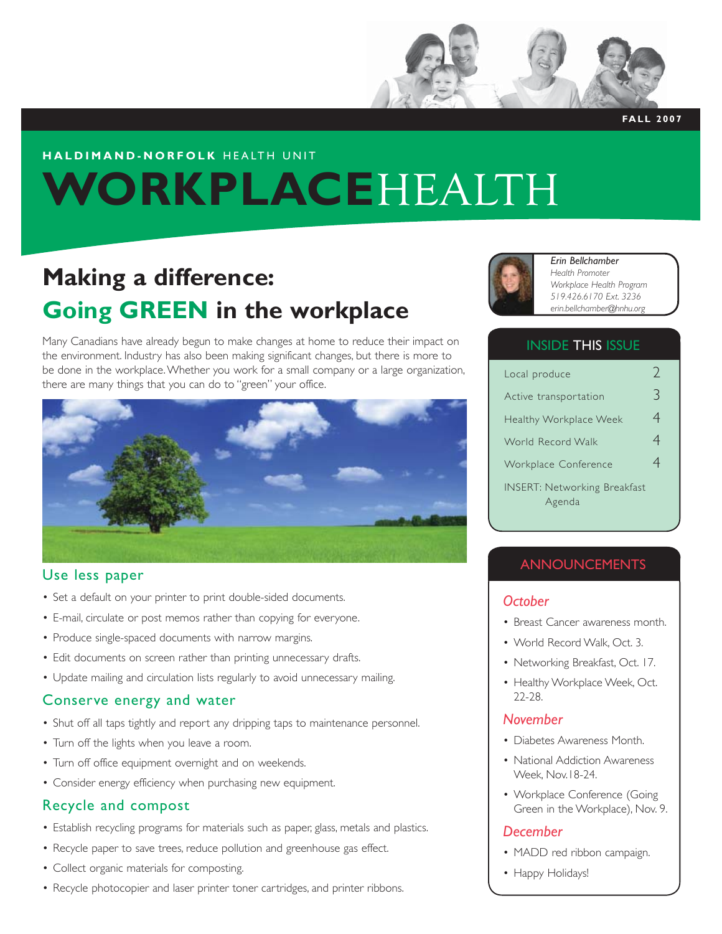

**FALL 2007**

# **HALDIMAND-NORFOLK** HEALTH UNIT **WORKPLACE**HEALTH

# **Making a difference: Going GREEN in the workplace**

Many Canadians have already begun to make changes at home to reduce their impact on the environment. Industry has also been making significant changes, but there is more to be done in the workplace. Whether you work for a small company or a large organization, there are many things that you can do to "green" your office.



#### Use less paper

- Set a default on your printer to print double-sided documents.
- E-mail, circulate or post memos rather than copying for everyone. •
- Produce single-spaced documents with narrow margins.
- Edit documents on screen rather than printing unnecessary drafts.
- Update mailing and circulation lists regularly to avoid unnecessary mailing.

#### Conserve energy and water

- Shut off all taps tightly and report any dripping taps to maintenance personnel.
- Turn off the lights when you leave a room.
- Turn off office equipment overnight and on weekends. •
- Consider energy efficiency when purchasing new equipment. •

## Recycle and compost

- Establish recycling programs for materials such as paper, glass, metals and plastics.
- Recycle paper to save trees, reduce pollution and greenhouse gas effect.
- Collect organic materials for composting.
- Recycle photocopier and laser printer toner cartridges, and printer ribbons.



#### *Erin Bellchamber Health Promoter Workplace Health Program 519.426.6170 Ext. 3236 erin.bellchamber@hnhu.org*

### INSIDE THIS ISSUE

| Local produce                                 | $\left( \frac{1}{2} \right)$ |
|-----------------------------------------------|------------------------------|
| Active transportation                         | 3                            |
| Healthy Workplace Week                        | 4                            |
| World Record Walk                             | 4                            |
| Workplace Conference                          | 4                            |
| <b>INSERT: Networking Breakfast</b><br>Agenda |                              |

## ANNOUNCEMENTS

#### *October*

- Breast Cancer awareness month.
- World Record Walk, Oct. 3.
- Networking Breakfast, Oct. 17.
- Healthy Workplace Week, Oct. 22-28.

#### *November*

- Diabetes Awareness Month. •
- National Addiction Awareness Week, Nov.18-24.
- Workplace Conference (Going Green in the Workplace), Nov. 9.

#### *December*

- MADD red ribbon campaign.
- Happy Holidays!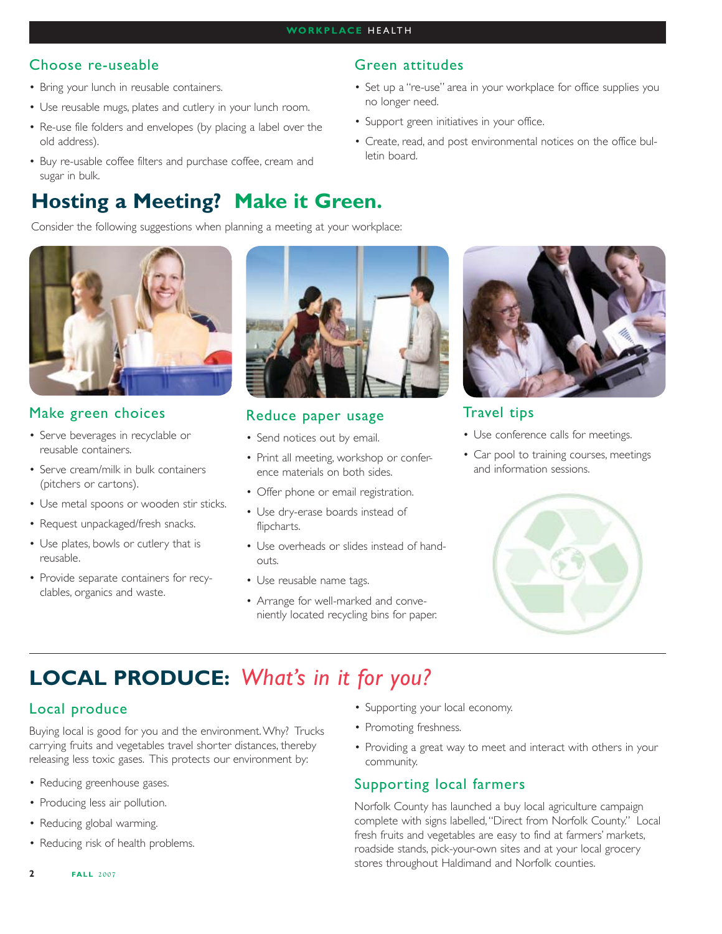Green attitudes

no longer need.

letin board.

• Support green initiatives in your office.

## Choose re-useable

- Bring your lunch in reusable containers.
- Use reusable mugs, plates and cutlery in your lunch room.
- Re-use file folders and envelopes (by placing a label over the old address).
- Buy re-usable coffee filters and purchase coffee, cream and sugar in bulk.

# **Hosting a Meeting? Make it Green.**

Consider the following suggestions when planning a meeting at your workplace:



## Make green choices

- Serve beverages in recyclable or reusable containers.
- Serve cream/milk in bulk containers (pitchers or cartons).
- Use metal spoons or wooden stir sticks.
- Request unpackaged/fresh snacks.
- Use plates, bowls or cutlery that is reusable.
- Provide separate containers for recyclables, organics and waste.



## Reduce paper usage

- Send notices out by email.
- Print all meeting, workshop or conference materials on both sides.
- Offer phone or email registration.
- Use dry-erase boards instead of flipcharts.
- Use overheads or slides instead of hand-• outs.
- Use reusable name tags.
- Arrange for well-marked and conve-• niently located recycling bins for paper.



## Travel tips

• Set up a "re-use" area in your workplace for office supplies you

Create, read, and post environmental notices on the office bul-•

- Use conference calls for meetings.
- Car pool to training courses, meetings and information sessions.



## **LOCAL PRODUCE:** *What's in it for you?*

## Local produce

Buying local is good for you and the environment. Why? Trucks carrying fruits and vegetables travel shorter distances, thereby releasing less toxic gases. This protects our environment by:

- Reducing greenhouse gases.
- Producing less air pollution.
- Reducing global warming.
- Reducing risk of health problems.
- Supporting your local economy.
- Promoting freshness.
- Providing a great way to meet and interact with others in your community.

## Supporting local farmers

Norfolk County has launched a buy local agriculture campaign complete with signs labelled, "Direct from Norfolk County." Local fresh fruits and vegetables are easy to find at farmers' markets, roadside stands, pick-your-own sites and at your local grocery stores throughout Haldimand and Norfolk counties.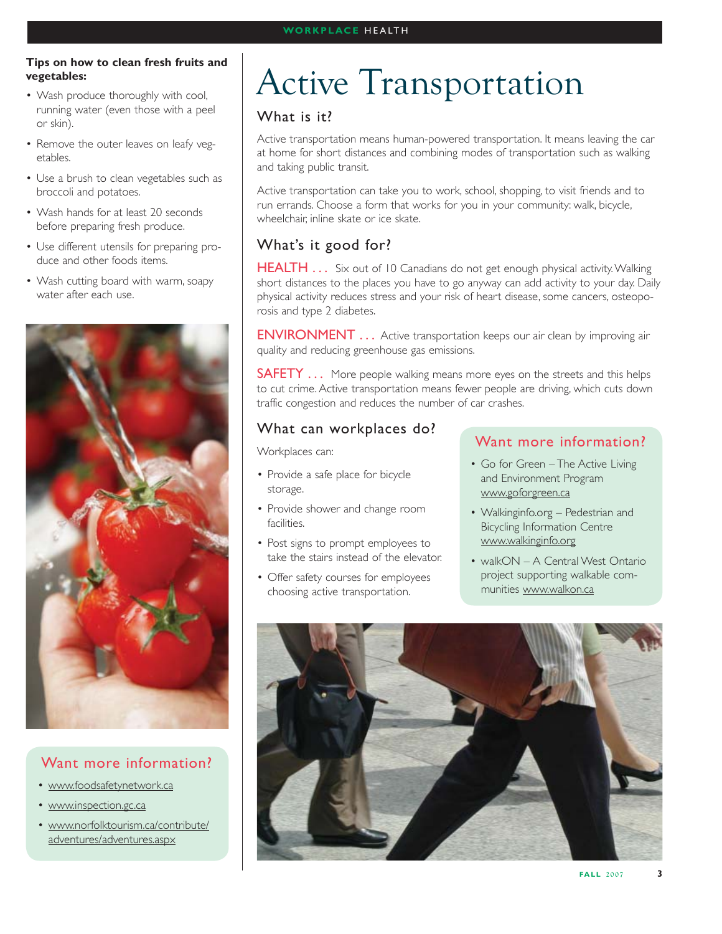#### **WORKPLACE** HEALTH

#### **Tips on how to clean fresh fruits and vegetables:**

- Wash produce thoroughly with cool, running water (even those with a peel or skin).
- Remove the outer leaves on leafy vegetables.
- Use a brush to clean vegetables such as broccoli and potatoes.
- Wash hands for at least 20 seconds before preparing fresh produce.
- Use different utensils for preparing pro-• duce and other foods items.
- Wash cutting board with warm, soapy water after each use.



## Want more information?

- www.foodsafetynetwork.ca
- www.inspection.gc.ca
- www.norfolktourism.ca/contribute/ adventures/adventures.aspx

# Active Transportation

## What is it?

Active transportation means human-powered transportation. It means leaving the car at home for short distances and combining modes of transportation such as walking and taking public transit.

Active transportation can take you to work, school, shopping, to visit friends and to run errands. Choose a form that works for you in your community: walk, bicycle, wheelchair, inline skate or ice skate.

## What's it good for?

HEALTH . . . Six out of 10 Canadians do not get enough physical activity. Walking short distances to the places you have to go anyway can add activity to your day. Daily physical activity reduces stress and your risk of heart disease, some cancers, osteoporosis and type 2 diabetes.

**ENVIRONMENT** . . . Active transportation keeps our air clean by improving air quality and reducing greenhouse gas emissions.

**SAFETY** ... More people walking means more eyes on the streets and this helps to cut crime. Active transportation means fewer people are driving, which cuts down traffic congestion and reduces the number of car crashes.

## What can workplaces do?

Workplaces can:

- Provide a safe place for bicycle storage.
- Provide shower and change room facilities.
- Post signs to prompt employees to take the stairs instead of the elevator.
- Offer safety courses for employees choosing active transportation.

## Want more information?

- Go for Green The Active Living and Environment Program www.goforgreen.ca
- Walkinginfo.org Pedestrian and Bicycling Information Centre www.walkinginfo.org
- walkON A Central West Ontario project supporting walkable communities www.walkon.ca